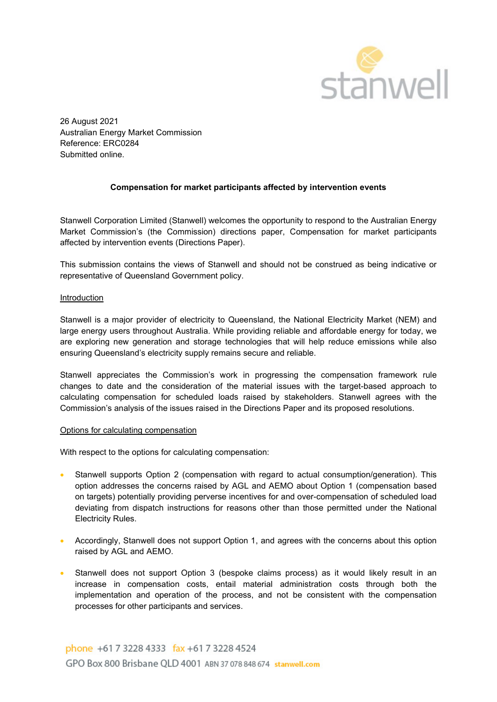

26 August 2021 Australian Energy Market Commission Reference: ERC0284 Submitted online.

# Compensation for market participants affected by intervention events

Stanwell Corporation Limited (Stanwell) welcomes the opportunity to respond to the Australian Energy Market Commission's (the Commission) directions paper, Compensation for market participants affected by intervention events (Directions Paper).

This submission contains the views of Stanwell and should not be construed as being indicative or representative of Queensland Government policy.

### Introduction

Stanwell is a major provider of electricity to Queensland, the National Electricity Market (NEM) and large energy users throughout Australia. While providing reliable and affordable energy for today, we are exploring new generation and storage technologies that will help reduce emissions while also ensuring Queensland's electricity supply remains secure and reliable.

Stanwell appreciates the Commission's work in progressing the compensation framework rule changes to date and the consideration of the material issues with the target-based approach to calculating compensation for scheduled loads raised by stakeholders. Stanwell agrees with the Commission's analysis of the issues raised in the Directions Paper and its proposed resolutions.

#### Options for calculating compensation

With respect to the options for calculating compensation:

- Stanwell supports Option 2 (compensation with regard to actual consumption/generation). This option addresses the concerns raised by AGL and AEMO about Option 1 (compensation based on targets) potentially providing perverse incentives for and over-compensation of scheduled load deviating from dispatch instructions for reasons other than those permitted under the National Electricity Rules.
- Accordingly, Stanwell does not support Option 1, and agrees with the concerns about this option raised by AGL and AEMO.
- Stanwell does not support Option 3 (bespoke claims process) as it would likely result in an increase in compensation costs, entail material administration costs through both the implementation and operation of the process, and not be consistent with the compensation processes for other participants and services.